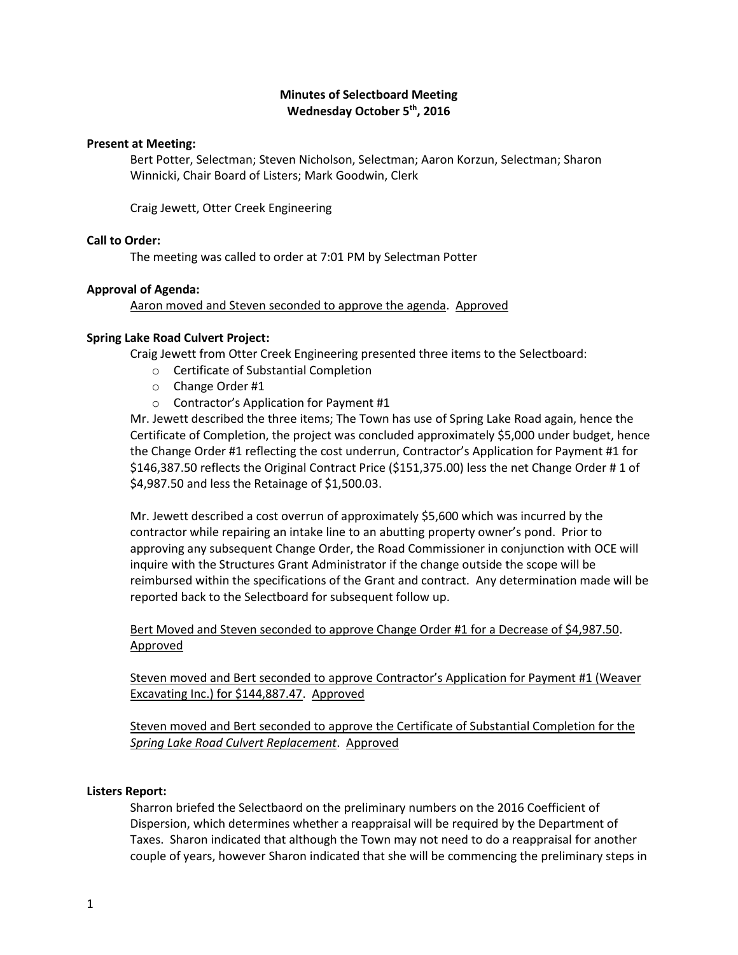# **Minutes of Selectboard Meeting Wednesday October 5th, 2016**

#### **Present at Meeting:**

Bert Potter, Selectman; Steven Nicholson, Selectman; Aaron Korzun, Selectman; Sharon Winnicki, Chair Board of Listers; Mark Goodwin, Clerk

Craig Jewett, Otter Creek Engineering

### **Call to Order:**

The meeting was called to order at 7:01 PM by Selectman Potter

### **Approval of Agenda:**

Aaron moved and Steven seconded to approve the agenda. Approved

### **Spring Lake Road Culvert Project:**

Craig Jewett from Otter Creek Engineering presented three items to the Selectboard:

- o Certificate of Substantial Completion
- o Change Order #1
- o Contractor's Application for Payment #1

Mr. Jewett described the three items; The Town has use of Spring Lake Road again, hence the Certificate of Completion, the project was concluded approximately \$5,000 under budget, hence the Change Order #1 reflecting the cost underrun, Contractor's Application for Payment #1 for \$146,387.50 reflects the Original Contract Price (\$151,375.00) less the net Change Order # 1 of \$4,987.50 and less the Retainage of \$1,500.03.

Mr. Jewett described a cost overrun of approximately \$5,600 which was incurred by the contractor while repairing an intake line to an abutting property owner's pond. Prior to approving any subsequent Change Order, the Road Commissioner in conjunction with OCE will inquire with the Structures Grant Administrator if the change outside the scope will be reimbursed within the specifications of the Grant and contract. Any determination made will be reported back to the Selectboard for subsequent follow up.

Bert Moved and Steven seconded to approve Change Order #1 for a Decrease of \$4,987.50. Approved

Steven moved and Bert seconded to approve Contractor's Application for Payment #1 (Weaver Excavating Inc.) for \$144,887.47. Approved

Steven moved and Bert seconded to approve the Certificate of Substantial Completion for the *Spring Lake Road Culvert Replacement*. Approved

#### **Listers Report:**

Sharron briefed the Selectbaord on the preliminary numbers on the 2016 Coefficient of Dispersion, which determines whether a reappraisal will be required by the Department of Taxes. Sharon indicated that although the Town may not need to do a reappraisal for another couple of years, however Sharon indicated that she will be commencing the preliminary steps in